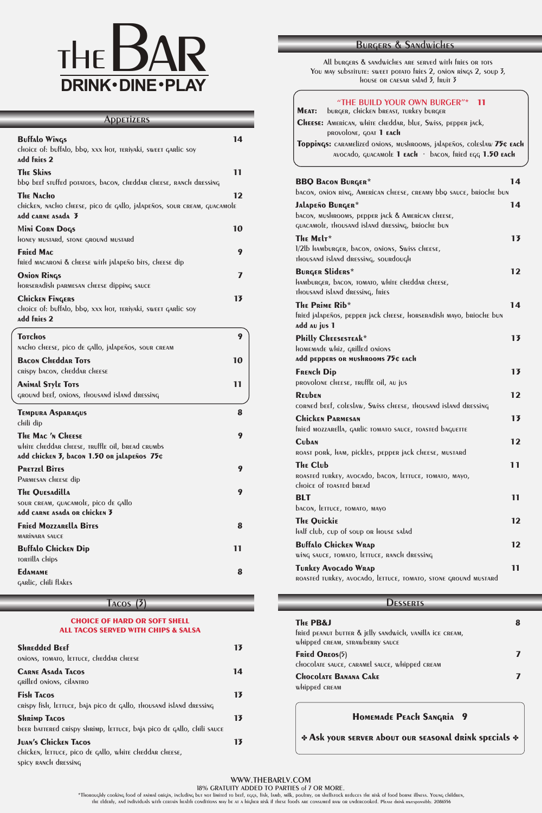## WWW.THEBARLV.COM

18% GRATUITY ADDED TO PARTIES of 7 OR MORE.

# THE BAR **DRINK · DINE · PLAY**

## **Buffalo Wings 14** choice of: buffalo, bbq, xxx hot, teriyaki, sweet garlic soy **add fries 2 The Skins 11** bbq beef stuffed potatoes, bacon, cheddar cheese, ranch dressing **The Nacho 12** chicken, nacho cheese, pico de gallo, jalapeños, sour cream, guacamole **add carne asada 3** M**ini Corn Dogs 10** honey mustard, stone ground mustard **Fried Mac 9** fried macaroni & cheese with jalapeño bits, cheese dip **Onion Rings 7** horseradish parmesan cheese dipping sauce **Chicken Fingers 13** choice of: buffalo, bbq, xxx hot, teriyaki, sweet garlic soy **add fries 2 Totchos 9** nacho cheese, pico de gallo, jalapeños, sour cream **Bacon Cheddar Tots 10** crispy bacon, cheddar cheese **Animal Style Tots 11** ground beef, onions, thousand island dressing **Tempura Asparagus 8** chili dip **Apperizers**

\*Thoroughly cooking food of animal origin, including but not limited to beef, eggs, fish, lamb, milk, poultry, or shellstock reduces the risk of food borne illness. Young children, the elderly, and individuals with certain health conditions may be at a higher risk if these foods are consumed raw or undercooked. Please drink rwesponsibly. 2086556

All burgers & sandwiches are served with fries or tots You may substitute: sweet potato fries 2, onion rings 2, soup 3, house or caesar salad 3, fruit 3

**The Mac 'n Cheese 9** white cheddar cheese, truffle oil, bread crumbs **add chicken 3, bacon 1.50 or jalapeños 75¢ Pretzel Bites 9** Parmesan cheese dip **The Quesadilla 9** sour cream, guacamole, pico de gallo **add carne asada or chicken 3 Fried Mozzarella Bites 8** marinara sauce **Buffalo Chicken Dip 11**

#### **Edamame 8**

tortilla chips

garlic, chili flakes

#### **CHOICE OF HARD OR SOFT SHELL ALL TACOS SERVED WITH CHIPS & SALSA**

| <b>SHREdded BEEF</b><br>ONIONS, TOMATO, LETTUCE, CHEddAR CHEESE                                               | 13 |
|---------------------------------------------------------------------------------------------------------------|----|
| <b>CARNE ASADA TACOS</b><br>GRIlled ONIONS, CILANTRO                                                          | 14 |
| <b>Fish TACOS</b><br>crispy fish, lettuce, baja pico de gallo, thousand island dressing                       | 13 |
| <b>SHRIMP TACOS</b><br>been barrened crispy shrimp, lerruce, baja pico de gallo, chili sauce                  | 13 |
| <b>JUAN'S CHICKEN TACOS</b><br>chicken, lettuce, pico de gallo, white cheddar cheese,<br>spicy RANCH dressing | 13 |

## Tacos (3)

| "THE BUILD YOUR OWN BURGER"* 11<br>burger, chicken breast, turkey burger<br>MEAT:                                                                             |                |
|---------------------------------------------------------------------------------------------------------------------------------------------------------------|----------------|
| <b>CHEESE:</b> AMERICAN, WHITE CHEDDAR, blue, Swiss, pepper jack,<br><b>PROVOLONE, GOAT 1 EACH</b>                                                            |                |
| Toppings: CARAMElized ONIONS, MUSHROOMS, jAlapeños, coleslaw 75¢ EACH<br>AVOCAdo, quacamole 1 $\epsilon$ ach · bacon, fried $\epsilon$ qq 1.50 $\epsilon$ ach |                |
| <b>BBQ BACON BURGER*</b><br>bacon, onion ring, American cheese, creamy bbo sauce, brioche bun                                                                 | 14             |
| JALADEÑO BURGER*<br>bacon, mushrooms, pepper jack & American cheese,<br>quacamole, Thousand island dressing, brioche bun                                      | 14             |
| The Melr*<br>1/2lb HAMburger, bacon, onions, Swiss cheese,<br>Thousand island dressing, sourdough                                                             | 1 <sub>3</sub> |
| <b>BURGER Sliders*</b><br>HAMburger, bacon, tomato, white cheddar cheese,<br>THOUSAND ISLAND dRESSING, FRIES                                                  | 12             |
| The Prime Rib*<br>fried jalapeños, pepper jack cheese, horseradish mayo, brioche bun<br>add au jus 1                                                          | 14             |
| <b>Philly Cheesesteak*</b><br>HOMEMAde whiz, Grilled ONIONS<br>add peppers or mushrooms 75¢ Each                                                              | 1 <sub>3</sub> |
| <b>FRENCH Dip</b><br><b>PROVOLONE CHEESE, TRUFFLE OIL, AU JUS</b>                                                                                             | 13             |
| <b>REUDEN</b><br>corned beef, coleslaw, Swiss cheese, Thousand island dressing                                                                                | 12             |
| <b>CHICKEN PARMESAN</b><br>fried MOZZARELLA, GARLIC TOMATO SAUCE, TOASTED bAGUETTE                                                                            | 1 <sub>3</sub> |
| <b>Cuban</b><br>ROAST pORK, HAM, pickles, pepper jack cheese, mustard                                                                                         | 12             |
| <b>The Club</b><br>ROASTED TURKEY, AVOCADO, DACON, LETTUCE, TOMATO, MAYO,<br><b>CHOICE OF TOASTED DREAD</b>                                                   | 11             |
| <b>BLT</b><br>bacon, lettuce, tomato, mayo                                                                                                                    | 11             |
| <b>The Quickie</b><br>Half club, cup of soup on house salad                                                                                                   | 12             |
| <b>Buffalo Chicken WRAP</b><br>wing sauce, tomato, lettuce, ranch dressing                                                                                    | 12             |

#### **Turkey Avocado Wrap 11**

roasted turkey, avocado, lettuce, tomato, stone ground mustard

## **DESSERTS**

## Burgers & Sandwiches

| <b>The PB&amp;J</b><br>fried peanut butter & jelly sandwich, vanilla ice cream,<br>whipped CREAM, STRAWDERRY SAUCE |  |
|--------------------------------------------------------------------------------------------------------------------|--|
| <b>Fried Oreos(5)</b><br>chocolate sauce, caramel sauce, whipped cream                                             |  |
| <b>CHOCOLATE BANANA CAKE</b><br>whipped CREAM                                                                      |  |

**Homemade Peach Sangria 9**

**Ask your server about our seasonal drink specials \***